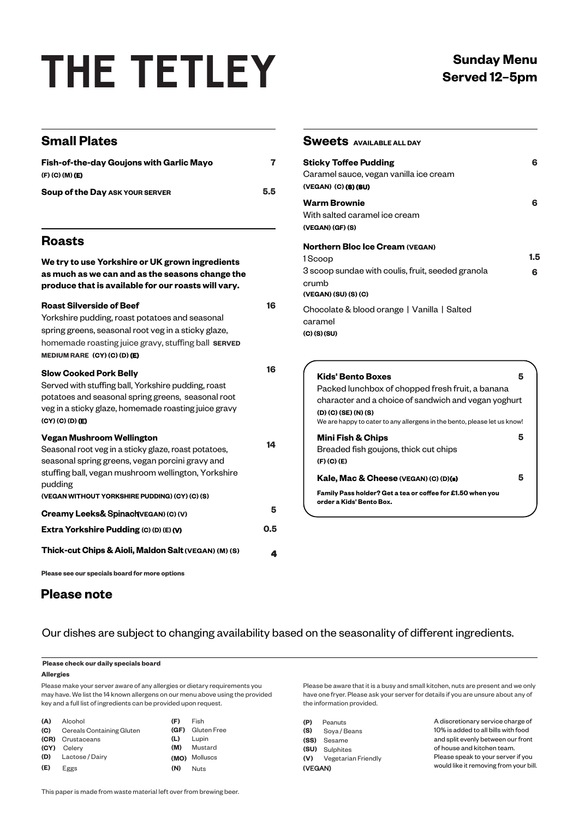## **THE TETLEY**

| <b>Small Plates</b>                                                                                                                                                                                                             |          | <b>Sweets AVAILABLE ALL DAY</b>                                                                                                                                                                                                               |          |
|---------------------------------------------------------------------------------------------------------------------------------------------------------------------------------------------------------------------------------|----------|-----------------------------------------------------------------------------------------------------------------------------------------------------------------------------------------------------------------------------------------------|----------|
| Fish-of-the-day Goujons with Garlic Mayo<br>$(F)$ (C) (M) (E)<br>Soup of the Day ASK YOUR SERVER                                                                                                                                | 7<br>5.5 | <b>Sticky Toffee Pudding</b><br>Caramel sauce, vegan vanilla ice cream<br>(VEGAN) (C) (8) (8U)                                                                                                                                                | 6        |
|                                                                                                                                                                                                                                 |          | <b>Warm Brownie</b><br>With salted caramel ice cream<br>(VEGAN) (GF) (S)                                                                                                                                                                      | 6        |
| <b>Roasts</b>                                                                                                                                                                                                                   |          | <b>Northern Bloc Ice Cream (VEGAN)</b>                                                                                                                                                                                                        |          |
| We try to use Yorkshire or UK grown ingredients<br>as much as we can and as the seasons change the<br>produce that is available for our roasts will vary.                                                                       |          | 1Scoop<br>3 scoop sundae with coulis, fruit, seeded granola<br>crumb<br>(VEGAN) (SU) (S) (C)                                                                                                                                                  | 1.5<br>6 |
| <b>Roast Silverside of Beef</b><br>Yorkshire pudding, roast potatoes and seasonal<br>spring greens, seasonal root veg in a sticky glaze,<br>homemade roasting juice gravy, stuffing ball SERVED<br>MEDIUM RARE (CY) (C) (D) (E) | 16       | Chocolate & blood orange   Vanilla   Salted<br>caramel<br>$(C)$ (S) (SU)                                                                                                                                                                      |          |
| <b>Slow Cooked Pork Belly</b><br>Served with stuffing ball, Yorkshire pudding, roast<br>potatoes and seasonal spring greens, seasonal root<br>veg in a sticky glaze, homemade roasting juice gravy<br>$(CY)$ $(C)$ $(D)$ $(E)$  | 16       | <b>Kids' Bento Boxes</b><br>5<br>Packed lunchbox of chopped fresh fruit, a banana<br>character and a choice of sandwich and vegan yoghurt<br>(D) (C) (SE) (N) (S)<br>We are happy to cater to any allergens in the bento, please let us know! |          |
| <b>Vegan Mushroom Wellington</b><br>Seasonal root veg in a sticky glaze, roast potatoes,<br>seasonal spring greens, vegan porcini gravy and                                                                                     | 14       | 5<br><b>Mini Fish &amp; Chips</b><br>Breaded fish goujons, thick cut chips<br>$(F)$ $(C)$ $(E)$                                                                                                                                               |          |
| stuffing ball, vegan mushroom wellington, Yorkshire<br>pudding                                                                                                                                                                  |          | 5<br>Kale, Mac & Cheese (VEGAN) (C) (D)(s)<br>Family Pass holder? Get a tea or coffee for £1.50 when you                                                                                                                                      |          |
| (VEGAN WITHOUT YORKSHIRE PUDDING) (CY) (C) (S)                                                                                                                                                                                  | 5        | order a Kids' Bento Box.                                                                                                                                                                                                                      |          |
| Creamy Leeks& Spinach (VEGAN) (C) (V)<br>Extra Yorkshire Pudding (C) (D) (E) (V)                                                                                                                                                | 0.5      |                                                                                                                                                                                                                                               |          |
| Thick-cut Chips & Aioli, Maldon Salt (VEGAN) (M) (S)                                                                                                                                                                            | 4        |                                                                                                                                                                                                                                               |          |

**Please see our specials board for more options**

### **Please note**

Our dishes are subject to changing availability based on the seasonality of different ingredients.

#### **Please check our daily specials board**

#### **Allergies**

Please make your server aware of any allergies or dietary requirements you may have. We list the 14 known allergens on our menu above using the provided key and a full list of ingredients can be provided upon request.

| (A)  | Alcohol                   | (F) | Fish             |
|------|---------------------------|-----|------------------|
| (C)  | Cereals Containing Gluten |     | (GF) Gluten Free |
|      | (CR) Crustaceans          | (L) | Lupin            |
| (CY) | Celerv                    | (M) | Mustard          |
| (D)  | Lactose / Dairy           |     | (MO) Molluscs    |
| (E)  | Eggs                      | (N) | <b>Nuts</b>      |

Please be aware that it is a busy and small kitchen, nuts are present and we only have one fryer. Please ask your server for details if you are unsure about any of the information provided.

| (P)<br>(S) | Peanuts<br>Soya / Beans |  |
|------------|-------------------------|--|
|            | (SS) Sesame             |  |
|            | (SU) Sulphites          |  |
|            | (V) Vegetarian Friendly |  |
| (VEGAN)    |                         |  |

A discretionary service charge of 10% is added to all bills with food and split evenly between our front of house and kitchen team. Please speak to your server if you would like it removing from your bill.